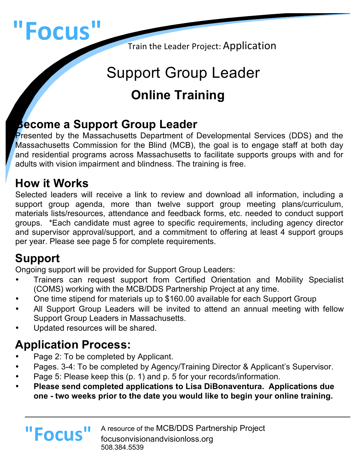# **"Focus"**

Train the Leader Project: Application

# Support Group Leader **Online Training**

# **Become a Support Group Leader**

Presented by the Massachusetts Department of Developmental Services (DDS) and the Massachusetts Commission for the Blind (MCB), the goal is to engage staff at both day and residential programs across Massachusetts to facilitate supports groups with and for adults with vision impairment and blindness. The training is free.

# **How it Works**

Selected leaders will receive a link to review and download all information, including a support group agenda, more than twelve support group meeting plans/curriculum, materials lists/resources, attendance and feedback forms, etc. needed to conduct support groups. \*Each candidate must agree to specific requirements, including agency director and supervisor approval/support, and a commitment to offering at least 4 support groups per year. Please see page 5 for complete requirements.

# **Support**

Ongoing support will be provided for Support Group Leaders:

- Trainers can request support from Certified Orientation and Mobility Specialist (COMS) working with the MCB/DDS Partnership Project at any time.
- One time stipend for materials up to \$160.00 available for each Support Group
- All Support Group Leaders will be invited to attend an annual meeting with fellow Support Group Leaders in Massachusetts.
- Updated resources will be shared.

# **Application Process:**

**"Focus"**

- Page 2: To be completed by Applicant.
- Pages. 3-4: To be completed by Agency/Training Director & Applicant's Supervisor.
- Page 5: Please keep this (p. 1) and p. 5 for your records/information.
- **Please send completed applications to Lisa DiBonaventura. Applications due one - two weeks prior to the date you would like to begin your online training.**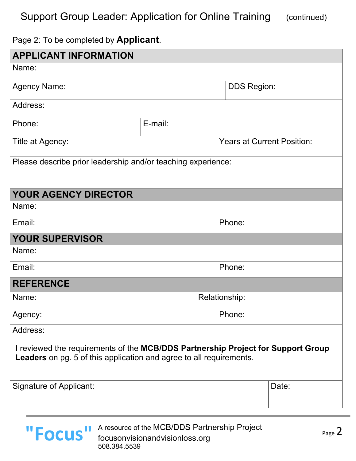#### Support Group Leader: Application for Online Training (continued)

#### Page 2: To be completed by **Applicant**.

| <b>APPLICANT INFORMATION</b>                                                                                                                                   |               |  |                                   |       |  |
|----------------------------------------------------------------------------------------------------------------------------------------------------------------|---------------|--|-----------------------------------|-------|--|
| Name:                                                                                                                                                          |               |  |                                   |       |  |
| <b>Agency Name:</b>                                                                                                                                            |               |  | <b>DDS Region:</b>                |       |  |
| Address:                                                                                                                                                       |               |  |                                   |       |  |
| Phone:                                                                                                                                                         | E-mail:       |  |                                   |       |  |
| Title at Agency:                                                                                                                                               |               |  | <b>Years at Current Position:</b> |       |  |
| Please describe prior leadership and/or teaching experience:                                                                                                   |               |  |                                   |       |  |
| <b>YOUR AGENCY DIRECTOR</b>                                                                                                                                    |               |  |                                   |       |  |
| Name:                                                                                                                                                          |               |  |                                   |       |  |
| Email:                                                                                                                                                         |               |  | Phone:                            |       |  |
| <b>YOUR SUPERVISOR</b>                                                                                                                                         |               |  |                                   |       |  |
| Name:                                                                                                                                                          |               |  |                                   |       |  |
| Email:                                                                                                                                                         |               |  | Phone:                            |       |  |
| <b>REFERENCE</b>                                                                                                                                               |               |  |                                   |       |  |
| Name:                                                                                                                                                          | Relationship: |  |                                   |       |  |
| Agency:                                                                                                                                                        |               |  | Phone:                            |       |  |
| Address:                                                                                                                                                       |               |  |                                   |       |  |
| I reviewed the requirements of the MCB/DDS Partnership Project for Support Group<br><b>Leaders</b> on pg. 5 of this application and agree to all requirements. |               |  |                                   |       |  |
| Signature of Applicant:                                                                                                                                        |               |  |                                   | Date: |  |

A resource of the MCB/DDS Partnership Project<br>
Focus experiences of this plane are not focusonvisionandvisionloss.org 508.384.5539 **"Focus"**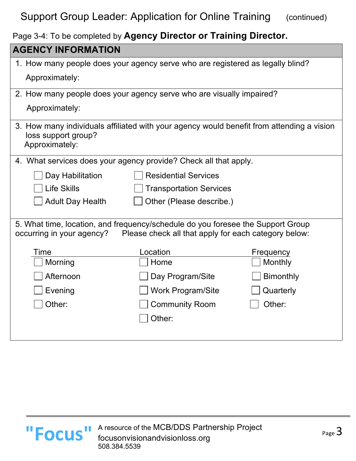#### Support Group Leader: Application for Online Training (continued)

Page 3-4: To be completed by **Agency Director or Training Director.**

| <b>AGENCY INFORMATION</b>                                                                                                                                            |                                |                  |  |  |  |
|----------------------------------------------------------------------------------------------------------------------------------------------------------------------|--------------------------------|------------------|--|--|--|
| 1. How many people does your agency serve who are registered as legally blind?                                                                                       |                                |                  |  |  |  |
| Approximately:                                                                                                                                                       |                                |                  |  |  |  |
| 2. How many people does your agency serve who are visually impaired?                                                                                                 |                                |                  |  |  |  |
| Approximately:                                                                                                                                                       |                                |                  |  |  |  |
| 3. How many individuals affiliated with your agency would benefit from attending a vision<br>loss support group?<br>Approximately:                                   |                                |                  |  |  |  |
| 4. What services does your agency provide? Check all that apply.                                                                                                     |                                |                  |  |  |  |
| Day Habilitation                                                                                                                                                     | <b>Residential Services</b>    |                  |  |  |  |
| <b>Life Skills</b>                                                                                                                                                   | <b>Transportation Services</b> |                  |  |  |  |
| <b>Adult Day Health</b>                                                                                                                                              | Other (Please describe.)       |                  |  |  |  |
| 5. What time, location, and frequency/schedule do you foresee the Support Group<br>occurring in your agency?<br>Please check all that apply for each category below: |                                |                  |  |  |  |
| Time                                                                                                                                                                 | Location                       | Frequency        |  |  |  |
| Morning                                                                                                                                                              | Home                           | Monthly          |  |  |  |
| Afternoon                                                                                                                                                            | Day Program/Site               | <b>Bimonthly</b> |  |  |  |
| Evening                                                                                                                                                              | <b>Work Program/Site</b>       | Quarterly        |  |  |  |
| Other:                                                                                                                                                               | <b>Community Room</b>          | Other:           |  |  |  |
|                                                                                                                                                                      | Other:                         |                  |  |  |  |
|                                                                                                                                                                      |                                |                  |  |  |  |



l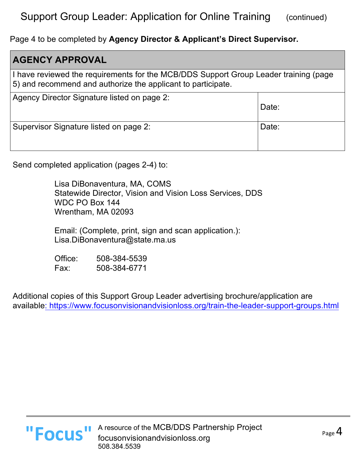#### Support Group Leader: Application for Online Training (continued)

Page 4 to be completed by **Agency Director & Applicant's Direct Supervisor.**

| <b>AGENCY APPROVAL</b>                                                                                                                               |       |  |  |  |
|------------------------------------------------------------------------------------------------------------------------------------------------------|-------|--|--|--|
| I have reviewed the requirements for the MCB/DDS Support Group Leader training (page<br>5) and recommend and authorize the applicant to participate. |       |  |  |  |
| Agency Director Signature listed on page 2:                                                                                                          | Date: |  |  |  |
| Supervisor Signature listed on page 2:                                                                                                               | Date: |  |  |  |

Send completed application (pages 2-4) to:

Lisa DiBonaventura, MA, COMS Statewide Director, Vision and Vision Loss Services, DDS WDC PO Box 144 Wrentham, MA 02093

Email: (Complete, print, sign and scan application.): Lisa.DiBonaventura@state.ma.us

Office: 508-384-5539 Fax: 508-384-6771

Additional copies of this Support Group Leader advertising brochure/application are available: https://www.focusonvisionandvisionloss.org/train-the-leader-support-groups.html